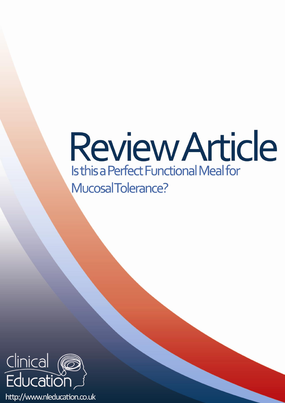# **Review Article** Is this a Perfect Functional Meal for MucosalTolerance?



http://www.nleducation.co.uk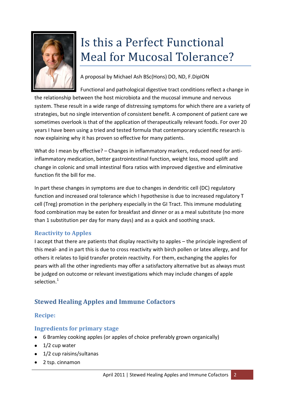

# Is this a Perfect Functional **Meal for Mucosal Tolerance?**

A proposal by Michael Ash BSc(Hons) DO, ND, F.DipION

Functional and pathological digestive tract conditions reflect a change in the relationship between the host microbiota and the mucosal immune and nervous system. These result in a wide range of distressing symptoms for which there are a variety of strategies, but no single intervention of consistent benefit. A component of patient care we sometimes overlook is that of the application of therapeutically relevant foods. For over 20 years I have been using a tried and tested formula that contemporary scientific research is now explaining why it has proven so effective for many patients.

What do I mean by effective? – Changes in inflammatory markers, reduced need for antiinflammatory medication, better gastrointestinal function, weight loss, mood uplift and change in colonic and small intestinal flora ratios with improved digestive and eliminative function fit the bill for me.

In part these changes in symptoms are due to changes in dendritic cell (DC) regulatory function and increased oral tolerance which I hypothesise is due to increased regulatory T cell (Treg) promotion in the periphery especially in the GI Tract. This immune modulating food combination may be eaten for breakfast and dinner or as a meal substitute (no more than 1 substitution per day for many days) and as a quick and soothing snack.

# **Reactivity to Apples**

I accept that there are patients that display reactivity to apples – the principle ingredient of this meal- and in part this is due to cross reactivity with birch pollen or latex allergy, and for others it relates to lipid transfer protein reactivity. For them, exchanging the apples for pears with all the other ingredients may offer a satisfactory alternative but as always must be judged on outcome or relevant investigations which may include changes of apple selection.<sup>1</sup>

# **Stewed Healing Apples and Immune Cofactors**

#### **Recipe:**

#### **Ingredients for primary stage**

- 6 Bramley cooking apples (or apples of choice preferably grown organically)
- $\bullet$  1/2 cup water
- 1/2 cup raisins/sultanas
- 2 tsp. cinnamon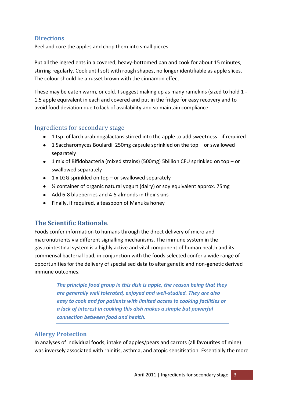#### **Directions**

Peel and core the apples and chop them into small pieces.

Put all the ingredients in a covered, heavy-bottomed pan and cook for about 15 minutes, stirring regularly. Cook until soft with rough shapes, no longer identifiable as apple slices. The colour should be a russet brown with the cinnamon effect.

These may be eaten warm, or cold. I suggest making up as many ramekins (sized to hold 1 - 1.5 apple equivalent in each and covered and put in the fridge for easy recovery and to avoid food deviation due to lack of availability and so maintain compliance.

# Ingredients for secondary stage

- 1 tsp. of larch arabinogalactans stirred into the apple to add sweetness if required
- 1 Saccharomyces Boulardii 250mg capsule sprinkled on the top or swallowed separately
- 1 mix of Bifidobacteria (mixed strains) (500mg) 5billion CFU sprinkled on top or swallowed separately
- $\bullet$  1 x LGG sprinkled on top or swallowed separately
- ½ container of organic natural yogurt (dairy) or soy equivalent approx. 75mg
- Add 6-8 blueberries and 4-5 almonds in their skins
- Finally, if required, a teaspoon of Manuka honey

# **The Scientific Rationale**.

Foods confer information to humans through the direct delivery of micro and macronutrients via different signalling mechanisms. The immune system in the gastrointestinal system is a highly active and vital component of human health and its commensal bacterial load, in conjunction with the foods selected confer a wide range of opportunities for the delivery of specialised data to alter genetic and non-genetic derived immune outcomes.

> *The principle food group in this dish is apple, the reason being that they are generally well tolerated, enjoyed and well-studied. They are also easy to cook and for patients with limited access to cooking facilities or a lack of interest in cooking this dish makes a simple but powerful connection between food and health.*

#### **Allergy Protection**

In analyses of individual foods, intake of apples/pears and carrots (all favourites of mine) was inversely associated with rhinitis, asthma, and atopic sensitisation. Essentially the more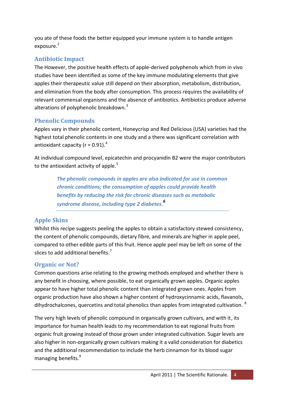you ate of these foods the better equipped your immune system is to handle antigen exposure.<sup>2</sup>

# **Antibiotic Impact**

The However, the positive health effects of apple-derived polyphenols which from in vivo studies have been identified as some of the key immune modulating elements that give apples their therapeutic value still depend on their absorption, metabolism, distribution, and elimination from the body after consumption. This process requires the availability of relevant commensal organisms and the absence of antibiotics. Antibiotics produce adverse alterations of polyphenolic breakdown.<sup>3</sup>

# **Phenolic Compounds**

Apples vary in their phenolic content, Honeycrisp and Red Delicious (USA) varieties had the highest total phenolic contents in one study and a there was significant correlation with antioxidant capacity ( $r = 0.91$ ).<sup>4</sup>

At individual compound level, epicatechin and procyanidin B2 were the major contributors to the antioxidant activity of apple. $5$ 

> *The phenolic compounds in apples are also indicated for use in common chronic conditions; the consumption of apples could provide health benefits by reducing the risk for chronic diseases such as metabolic syndrome disease, including type 2 diabetes.<sup>6</sup>*

# **Apple Skins**

Whilst this recipe suggests peeling the apples to obtain a satisfactory stewed consistency, the content of phenolic compounds, dietary fibre, and minerals are higher in apple peel, compared to other edible parts of this fruit. Hence apple peel may be left on some of the slices to add additional benefits.<sup>7</sup>

# **Organic or Not?**

Common questions arise relating to the growing methods employed and whether there is any benefit in choosing, where possible, to eat organically grown apples. Organic apples appear to have higher total phenolic content than integrated grown ones. Apples from organic production have also shown a higher content of hydroxycinnamic acids, flavanols, dihydrochalcones, quercetins and total phenolics than apples from integrated cultivation. <sup>8</sup>

The very high levels of phenolic compound in organically grown cultivars, and with it, its importance for human health leads to my recommendation to eat regional fruits from organic fruit growing instead of those grown under integrated cultivation. Sugar levels are also higher in non-organically grown cultivars making it a valid consideration for diabetics and the additional recommendation to include the herb cinnamon for its blood sugar managing benefits.<sup>9</sup>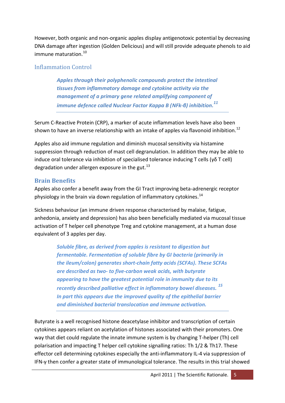However, both organic and non-organic apples display antigenotoxic potential by decreasing DNA damage after ingestion (Golden Delicious) and will still provide adequate phenols to aid immune maturation. 10

#### Inflammation Control

*Apples through their polyphenolic compounds protect the intestinal tissues from inflammatory damage and cytokine activity via the management of a primary gene related amplifying component of immune defence called Nuclear Factor Kappa B (NFk-β) inhibition.<sup>11</sup>*

Serum C-Reactive Protein (CRP), a marker of acute inflammation levels have also been shown to have an inverse relationship with an intake of apples via flavonoid inhibition.<sup>12</sup>

Apples also aid immune regulation and diminish mucosal sensitivity via histamine suppression through reduction of mast cell degranulation. In addition they may be able to induce oral tolerance via inhibition of specialised tolerance inducing T cells (γδ T cell) degradation under allergen exposure in the gut. $^{13}$ 

#### **Brain Benefits**

Apples also confer a benefit away from the GI Tract improving beta-adrenergic receptor physiology in the brain via down regulation of inflammatory cytokines.<sup>14</sup>

Sickness behaviour (an immune driven response characterised by malaise, fatigue, anhedonia, anxiety and depression) has also been beneficially mediated via mucosal tissue activation of T helper cell phenotype Treg and cytokine management, at a human dose equivalent of 3 apples per day.

> *Soluble fibre, as derived from apples is resistant to digestion but fermentable. Fermentation of soluble fibre by GI bacteria (primarily in the ileum/colon) generates short-chain fatty acids (SCFAs). These SCFAs are described as two- to five-carbon weak acids, with butyrate appearing to have the greatest potential role in immunity due to its recently described palliative effect in inflammatory bowel diseases. <sup>15</sup> In part this appears due the improved quality of the epithelial barrier and diminished bacterial translocation and immune activation.*

Butyrate is a well recognised histone deacetylase inhibitor and transcription of certain cytokines appears reliant on acetylation of histones associated with their promoters. One way that diet could regulate the innate immune system is by changing T-helper (Th) cell polarisation and impacting T helper cell cytokine signalling ratios: Th 1/2 & Th17. These effector cell determining cytokines especially the anti-inflammatory IL-4 via suppression of IFN-γ then confer a greater state of immunological tolerance. The results in this trial showed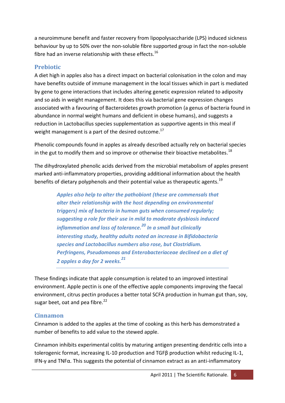a neuroimmune benefit and faster recovery from lipopolysaccharide (LPS) induced sickness behaviour by up to 50% over the non-soluble fibre supported group in fact the non-soluble fibre had an inverse relationship with these effects.<sup>16</sup>

#### **Prebiotic**

A diet high in apples also has a direct impact on bacterial colonisation in the colon and may have benefits outside of immune management in the local tissues which in part is mediated by gene to gene interactions that includes altering genetic expression related to adiposity and so aids in weight management. It does this via bacterial gene expression changes associated with a favouring of Bacteroidetes growth promotion (a genus of bacteria found in abundance in normal weight humans and deficient in obese humans), and suggests a reduction in Lactobacillus species supplementation as supportive agents in this meal if weight management is a part of the desired outcome.<sup>17</sup>

Phenolic compounds found in apples as already described actually rely on bacterial species in the gut to modify them and so improve or otherwise their bioactive metabolites.<sup>18</sup>

The dihydroxylated phenolic acids derived from the microbial metabolism of apples present marked anti-inflammatory properties, providing additional information about the health benefits of dietary polyphenols and their potential value as therapeutic agents.<sup>19</sup>

> *Apples also help to alter the pathobiont (these are commensals that alter their relationship with the host depending on environmental triggers) mix of bacteria in human guts when consumed regularly; suggesting a role for their use in mild to moderate dysbiosis induced inflammation and loss of tolerance.<sup>20</sup> In a small but clinically interesting study, healthy adults noted an increase in Bifidobacteria species and Lactobacillus numbers also rose, but Clostridium. Perfringens, Pseudomonas and Enterobacteriaceae declined on a diet of 2 apples a day for 2 weeks.<sup>21</sup>*

These findings indicate that apple consumption is related to an improved intestinal environment. Apple pectin is one of the effective apple components improving the faecal environment, citrus pectin produces a better total SCFA production in human gut than, soy, sugar beet, oat and pea fibre. $^{22}$ 

# **Cinnamon**

Cinnamon is added to the apples at the time of cooking as this herb has demonstrated a number of benefits to add value to the stewed apple.

Cinnamon inhibits experimental colitis by maturing antigen presenting dendritic cells into a tolerogenic format, increasing IL-10 production and TGFβ production whilst reducing IL-1, IFN-γ and TNF $α$ . This suggests the potential of cinnamon extract as an anti-inflammatory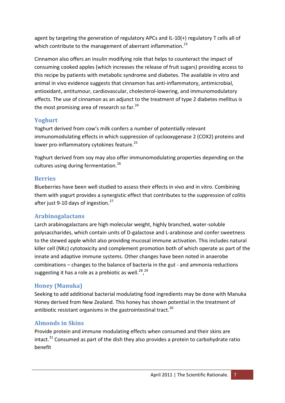agent by targeting the generation of regulatory APCs and IL-10(+) regulatory T cells all of which contribute to the management of aberrant inflammation.<sup>23</sup>

Cinnamon also offers an insulin modifying role that helps to counteract the impact of consuming cooked apples (which increases the release of fruit sugars) providing access to this recipe by patients with metabolic syndrome and diabetes. The available in vitro and animal in vivo evidence suggests that cinnamon has anti-inflammatory, antimicrobial, antioxidant, antitumour, cardiovascular, cholesterol-lowering, and immunomodulatory effects. The use of cinnamon as an adjunct to the treatment of type 2 diabetes mellitus is the most promising area of research so far.<sup>24</sup>

# **Yoghurt**

Yoghurt derived from cow's milk confers a number of potentially relevant immunomodulating effects in which suppression of cyclooxygenase 2 (COX2) proteins and lower pro-inflammatory cytokines feature.<sup>25</sup>

Yoghurt derived from soy may also offer immunomodulating properties depending on the cultures using during fermentation.<sup>26</sup>

#### **Berries**

Blueberries have been well studied to assess their effects in vivo and in vitro. Combining them with yogurt provides a synergistic effect that contributes to the suppression of colitis after just 9-10 days of ingestion.<sup>27</sup>

# **Arabinogalactans**

Larch arabinogalactans are high molecular weight, highly branched, water-soluble polysaccharides, which contain units of D-galactose and L-arabinose and confer sweetness to the stewed apple whilst also providing mucosal immune activation. This includes natural killer cell (NKc) cytotoxicity and complement promotion both of which operate as part of the innate and adaptive immune systems. Other changes have been noted in anaerobe combinations – changes to the balance of bacteria in the gut - and ammonia reductions suggesting it has a role as a prebiotic as well.<sup>28,29</sup>

# **Honey (Manuka)**

Seeking to add additional bacterial modulating food ingredients may be done with Manuka Honey derived from New Zealand. This honey has shown potential in the treatment of antibiotic resistant organisms in the gastrointestinal tract.<sup>30</sup>

# **Almonds in Skins**

Provide protein and immune modulating effects when consumed and their skins are intact. $31$  Consumed as part of the dish they also provides a protein to carbohydrate ratio benefit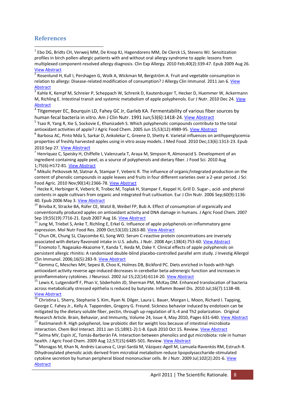#### **References**

<sup>1</sup> Ebo DG, Bridts CH, Verweij MM, De Knop KJ, Hagendorens MM, De Clerck LS, Stevens WJ. Sensitization profiles in birch pollen-allergic patients with and without oral allergy syndrome to apple: lessons from multiplexed component-resolved allergy diagnosis. Clin Exp Allergy. 2010 Feb;40(2):339-47. Epub 2009 Aug 26. [View Abstract](http://www.ncbi.nlm.nih.gov/pubmed/19709127)

<sup>2</sup> Rosenlund H, Kull I, Pershagen G, Wolk A, Wickman M, Bergström A. Fruit and vegetable consumption in relation to allergy: Disease-related modification of consumption? J Allergy Clin Immunol. 2011 Jan 6. [View](http://www.ncbi.nlm.nih.gov/pubmed/21215999)  [Abstract](http://www.ncbi.nlm.nih.gov/pubmed/21215999)

<sup>3</sup> Kahle K, Kempf M, Schreier P, Scheppach W, Schrenk D, Kautenburger T, Hecker D, Huemmer W, Ackermann M, Richling E. Intestinal transit and systemic metabolism of apple polyphenols. Eur J Nutr. 2010 Dec 24. [View](http://www.ncbi.nlm.nih.gov/pubmed/21184087)  **[Abstract](http://www.ncbi.nlm.nih.gov/pubmed/21184087)** 

<sup>4</sup> Titgemeyer EC, Bourquin LD, Fahey GC Jr, Garleb KA. Fermentability of various fiber sources by

human fecal bacteria in vitro. Am J Clin Nutr. 1991 Jun;53(6):1418-24. [View Abstract](http://www.ncbi.nlm.nih.gov/pubmed/1852091) 5 Tsao R, Yang R, Xie S, Sockovie E, Khanizadeh S. Which polyphenolic compounds contribute to the total antioxidant activities of apple? J Agric Food Chem. 2005 Jun 15;53(12):4989-95[. View Abstract](http://www.ncbi.nlm.nih.gov/pubmed/15941346)

 $^6$  Barbosa AC, Pinto Mda S, Sarkar D, Ankolekar C, Greene D, Shetty K, Varietal influences on antihyperglycemia properties of freshly harvested apples using in vitro assay models. J Med Food. 2010 Dec;13(6):1313-23. Epub 2010 Sep 27. <u>View Abstract</u><br><sup>7</sup> Henríquez C, Speisky H, Chiffelle I, Valenzuela T, Araya M, Simpson R, Almonacid S. Development of an

ingredient containing apple peel, as a source of polyphenols and dietary fiber. J Food Sci. 2010 Aug 1;75(6):H172-81. <u>View Abstract</u><br><sup>8</sup> Mikulic Petkovsek M, Slatnar A, Stampar F, Veberic R. The influence of organic/integrated production on the

content of phenolic compounds in apple leaves and fruits in four different varieties over a 2-year period. J Sci Food Agric. 2010 Nov;90(14):2366-78. <u>View Abstract</u><br><sup>9</sup> Hecke K, Herbinger K, Veberic R, Trobec M, Toplak H, Stampar F, Keppel H, Grill D. Sugar-, acid- and phenol

contents in apple cultivars from organic and integrated fruit cultivation. Eur J Clin Nutr. 2006 Sep;60(9):1136-

40. Epub 2006 May 3. *View Abstract*<br><sup>10</sup> Briviba K, Stracke BA, Rüfer CE, Watzl B, Weibel FP, Bub A. Effect of consumption of organically and conventionally produced apples on antioxidant activity and DNA damage in humans. J Agric Food Chem. 2007<br>Sep 19;55(19):7716-21. Epub 2007 Aug 16. View Abstract

<sup>11</sup> Jung M, Triebel S, Anke T, Richling E, Erkel G. Influence of apple polyphenols on inflammatory gene expression. Mol Nutr Food Res. 2009 Oct;53(10):1263-80[. View Abstract](http://www.ncbi.nlm.nih.gov/pubmed/17696483)

 $12$  Chun OK, Chung SJ, Claycombe KJ, Song WO. Serum C-reactive protein concentrations are inversely associated with dietary flavonoid intake in U.S. adults. J Nutr. 2008 Apr;138(4):753-60. *View Abstract* <sup>13</sup> Enomoto T, Nagasako-Akazome Y, Kanda T, Ikeda M, Dake Y. Clinical effects of apple polyphenols on

persistent allergic rhinitis: A randomized double-blind placebo-controlled parallel arm study. J Investig Allergol

Clin Immunol. 2006;16(5):283-9. [View Abstract](http://www.ncbi.nlm.nih.gov/pubmed/17039666)<br><sup>14</sup> Gemma C, Mesches MH, Sepesi B, Choo K, Holmes DB, Bickford PC. Diets enriched in foods with high antioxidant activity reverse age-induced decreases in cerebellar beta-adrenergic function and increases in proinflammatory cytokines. J Neurosci. 2002 Jul 15;22(14):6114-20[. View Abstract](http://www.ncbi.nlm.nih.gov/pubmed/12122072) 15 Lewis K, Lutgendorff F, Phan V, Söderholm JD, Sherman PM, McKay DM. Enhanced translocation of bacteria

across metabolically stressed epithelia is reduced by butyrate. Inflamm Bowel Dis. 2010 Jul;16(7):1138-48. [View Abstract](http://www.ncbi.nlm.nih.gov/pubmed/20024905)

<sup>16</sup> Christina L. Sherry, Stephanie S. Kim, Ryan N. Dilger, Laura L. Bauer, Morgan L. Moon, Richard I. Tapping, George C. Fahey Jr., Kelly A. Tappenden, Gregory G. Freund. Sickness behavior induced by endotoxin can be mitigated by the dietary soluble fiber, pectin, through up-regulation of IL-4 and Th2 polarization. Original<br>Research Article. Brain, Behavior, and Immunity, Volume 24, Issue 4, May 2010, Pages 631-640. View Abstract

<sup>17</sup> Rastmanesh R. High polyphenol, Iow probiotic diet for weight loss because of intestinal microbiota interaction. Chem Biol Interact. 2011 Jan 15;189(1-2):1-8. Epub 2010 Oct 15. Review[. View Abstract](http://www.ncbi.nlm.nih.gov/pubmed/20138982)

<sup>18</sup> Selma MV, Espín JC, Tomás-Barberán FA. Interaction between phenolics and gut microbiota: role in human health. J Agric Food Chem. 2009 Aug 12;57(15):6485-501. Review[. View Abstract](http://www.ncbi.nlm.nih.gov/pubmed/19580283) 19 Monagas M, Khan N, Andrés-Lacueva C, Urpí-Sardá M, Vázquez-Agell M, Lamuela-Raventós RM, Estruch R.

Dihydroxylated phenolic acids derived from microbial metabolism reduce lipopolysaccharide-stimulated cytokine secretion by human peripheral blood mononuclear cells. Br J Nutr. 2009 Jul;102(2):201-6[. View](http://www.ncbi.nlm.nih.gov/pubmed/19586571)  [Abstract](http://www.ncbi.nlm.nih.gov/pubmed/19586571)